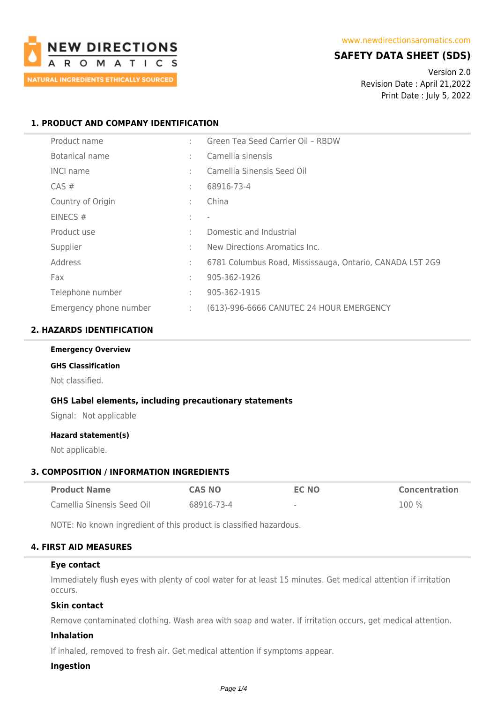

# **SAFETY DATA SHEET (SDS)**

Version 2.0 Revision Date : April 21,2022 Print Date : July 5, 2022

# **1. PRODUCT AND COMPANY IDENTIFICATION**

| Product name           | ÷ | Green Tea Seed Carrier Oil - RBDW                        |
|------------------------|---|----------------------------------------------------------|
| Botanical name         | ÷ | Camellia sinensis                                        |
| <b>INCI name</b>       | ÷ | Camellia Sinensis Seed Oil                               |
| $CAS \#$               | ÷ | 68916-73-4                                               |
| Country of Origin      | ÷ | China                                                    |
| EINECS $#$             | ÷ | $\overline{\phantom{a}}$                                 |
| Product use            | ÷ | Domestic and Industrial                                  |
| Supplier               | ÷ | New Directions Aromatics Inc.                            |
| Address                | ÷ | 6781 Columbus Road, Mississauga, Ontario, CANADA L5T 2G9 |
| Fax                    | ÷ | 905-362-1926                                             |
| Telephone number       | ÷ | 905-362-1915                                             |
| Emergency phone number | ÷ | (613)-996-6666 CANUTEC 24 HOUR EMERGENCY                 |

# **2. HAZARDS IDENTIFICATION**

# **Emergency Overview**

# **GHS Classification**

Not classified.

## **GHS Label elements, including precautionary statements**

Signal: Not applicable

### **Hazard statement(s)**

Not applicable.

## **3. COMPOSITION / INFORMATION INGREDIENTS**

| <b>Product Name</b>        | <b>CAS NO</b> | EC NO                    | <b>Concentration</b> |
|----------------------------|---------------|--------------------------|----------------------|
| Camellia Sinensis Seed Oil | 68916-73-4    | $\overline{\phantom{a}}$ | $100\%$              |

NOTE: No known ingredient of this product is classified hazardous.

# **4. FIRST AID MEASURES**

### **Eye contact**

Immediately flush eyes with plenty of cool water for at least 15 minutes. Get medical attention if irritation occurs.

### **Skin contact**

Remove contaminated clothing. Wash area with soap and water. If irritation occurs, get medical attention.

# **Inhalation**

If inhaled, removed to fresh air. Get medical attention if symptoms appear.

# **Ingestion**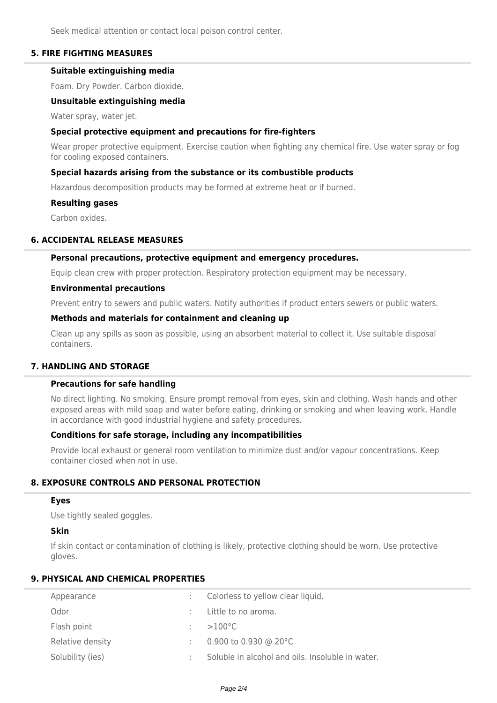Seek medical attention or contact local poison control center.

## **5. FIRE FIGHTING MEASURES**

# **Suitable extinguishing media**

Foam. Dry Powder. Carbon dioxide.

### **Unsuitable extinguishing media**

Water spray, water jet.

## **Special protective equipment and precautions for fire-fighters**

Wear proper protective equipment. Exercise caution when fighting any chemical fire. Use water spray or fog for cooling exposed containers.

## **Special hazards arising from the substance or its combustible products**

Hazardous decomposition products may be formed at extreme heat or if burned.

#### **Resulting gases**

Carbon oxides.

## **6. ACCIDENTAL RELEASE MEASURES**

### **Personal precautions, protective equipment and emergency procedures.**

Equip clean crew with proper protection. Respiratory protection equipment may be necessary.

### **Environmental precautions**

Prevent entry to sewers and public waters. Notify authorities if product enters sewers or public waters.

## **Methods and materials for containment and cleaning up**

Clean up any spills as soon as possible, using an absorbent material to collect it. Use suitable disposal containers.

## **7. HANDLING AND STORAGE**

### **Precautions for safe handling**

No direct lighting. No smoking. Ensure prompt removal from eyes, skin and clothing. Wash hands and other exposed areas with mild soap and water before eating, drinking or smoking and when leaving work. Handle in accordance with good industrial hygiene and safety procedures.

## **Conditions for safe storage, including any incompatibilities**

Provide local exhaust or general room ventilation to minimize dust and/or vapour concentrations. Keep container closed when not in use.

# **8. EXPOSURE CONTROLS AND PERSONAL PROTECTION**

### **Eyes**

Use tightly sealed goggles.

### **Skin**

If skin contact or contamination of clothing is likely, protective clothing should be worn. Use protective gloves.

## **9. PHYSICAL AND CHEMICAL PROPERTIES**

| Appearance       | : Colorless to yellow clear liquid.              |
|------------------|--------------------------------------------------|
| Odor             | Little to no aroma.                              |
| Flash point      | $>100^{\circ}$ C                                 |
| Relative density | 0.900 to 0.930 @ 20 $^{\circ}$ C                 |
| Solubility (ies) | Soluble in alcohol and oils. Insoluble in water. |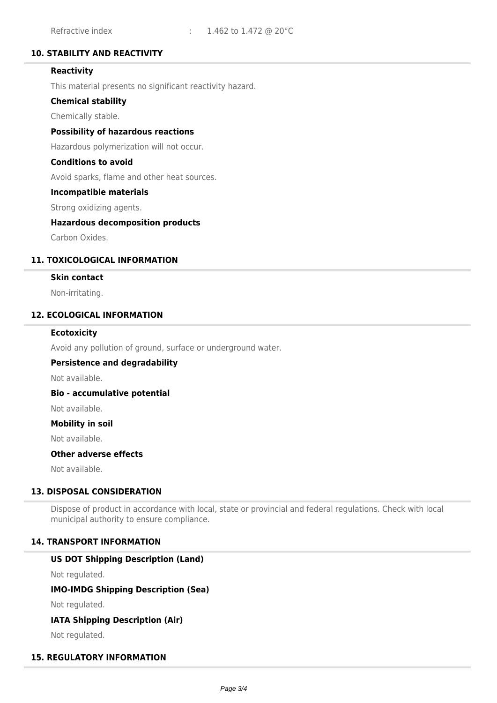# **10. STABILITY AND REACTIVITY**

# **Reactivity**

This material presents no significant reactivity hazard.

## **Chemical stability**

Chemically stable.

### **Possibility of hazardous reactions**

Hazardous polymerization will not occur.

## **Conditions to avoid**

Avoid sparks, flame and other heat sources.

### **Incompatible materials**

Strong oxidizing agents.

### **Hazardous decomposition products**

Carbon Oxides.

## **11. TOXICOLOGICAL INFORMATION**

### **Skin contact**

Non-irritating.

# **12. ECOLOGICAL INFORMATION**

### **Ecotoxicity**

Avoid any pollution of ground, surface or underground water.

### **Persistence and degradability**

Not available.

### **Bio - accumulative potential**

Not available.

### **Mobility in soil**

Not available.

# **Other adverse effects**

Not available.

# **13. DISPOSAL CONSIDERATION**

Dispose of product in accordance with local, state or provincial and federal regulations. Check with local municipal authority to ensure compliance.

### **14. TRANSPORT INFORMATION**

### **US DOT Shipping Description (Land)**

Not regulated.

# **IMO-IMDG Shipping Description (Sea)**

Not regulated.

## **IATA Shipping Description (Air)**

Not regulated.

## **15. REGULATORY INFORMATION**